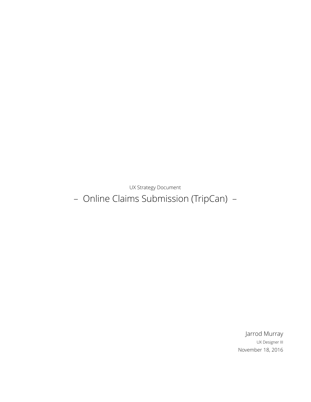UX Strategy Document

– Online Claims Submission (TripCan) –

Jarrod Murray UX Designer III November 18, 2016